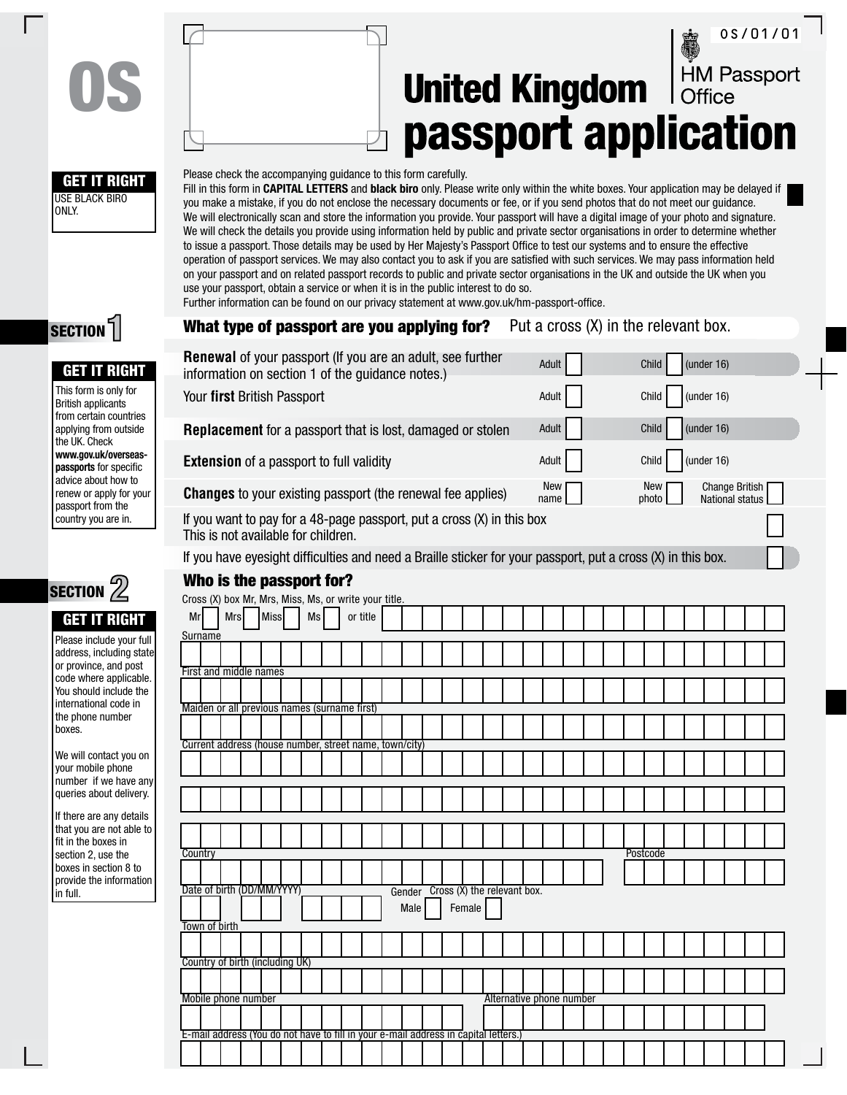# OS/01/01HM Passport **United Kingdom** passport application



OS

#### Please check the accompanying guidance to this form carefully.

Fill in this form in **CAPITAL LETTERS** and **black biro** only. Please write only within the white boxes. Your application may be delayed if you make a mistake, if you do not enclose the necessary documents or fee, or if you send photos that do not meet our guidance. We will electronically scan and store the information you provide. Your passport will have a digital image of your photo and signature. We will check the details you provide using information held by public and private sector organisations in order to determine whether to issue a passport. Those details may be used by Her Majesty's Passport Office to test our systems and to ensure the effective operation of passport services. We may also contact you to ask if you are satisfied with such services. We may pass information held on your passport and on related passport records to public and private sector organisations in the UK and outside the UK when you use your passport, obtain a service or when it is in the public interest to do so.

Further information can be found on our privacy statement at www.gov.uk/hm-passport-office.

| What type of passport are you applying for?                                                                   |             |           |          |                |  |                                       |                          |             | Put a cross (X) in the relevant box. |              |  |               |                                                 |  |
|---------------------------------------------------------------------------------------------------------------|-------------|-----------|----------|----------------|--|---------------------------------------|--------------------------|-------------|--------------------------------------|--------------|--|---------------|-------------------------------------------------|--|
| Renewal of your passport (If you are an adult, see further                                                    |             |           |          |                |  |                                       |                          | Adult       |                                      | Child        |  | (under 16)    |                                                 |  |
| information on section 1 of the guidance notes.)                                                              |             |           |          |                |  |                                       |                          |             |                                      |              |  |               |                                                 |  |
| Your first British Passport                                                                                   |             |           |          |                |  |                                       |                          | Adult       |                                      | Child        |  | (under 16)    |                                                 |  |
| Replacement for a passport that is lost, damaged or stolen                                                    |             |           |          |                |  |                                       |                          | Adult       |                                      | Child        |  | (under 16)    |                                                 |  |
| <b>Extension</b> of a passport to full validity                                                               |             |           |          |                |  |                                       |                          | Adult       |                                      | Child        |  | (under $16$ ) |                                                 |  |
| <b>Changes</b> to your existing passport (the renewal fee applies)                                            |             |           |          |                |  |                                       |                          | New<br>name |                                      | New<br>photo |  |               | <b>Change British</b><br><b>National status</b> |  |
| If you want to pay for a 48-page passport, put a cross (X) in this box<br>This is not available for children. |             |           |          |                |  |                                       |                          |             |                                      |              |  |               |                                                 |  |
| If you have eyesight difficulties and need a Braille sticker for your passport, put a cross (X) in this box.  |             |           |          |                |  |                                       |                          |             |                                      |              |  |               |                                                 |  |
| Who is the passport for?                                                                                      |             |           |          |                |  |                                       |                          |             |                                      |              |  |               |                                                 |  |
| Cross (X) box Mr, Mrs, Miss, Ms, or write your title.                                                         |             |           |          |                |  |                                       |                          |             |                                      |              |  |               |                                                 |  |
| Mr<br><b>Mrs</b>                                                                                              | <b>Miss</b> | <b>Ms</b> | or title |                |  |                                       |                          |             |                                      |              |  |               |                                                 |  |
| Surname                                                                                                       |             |           |          |                |  |                                       |                          |             |                                      |              |  |               |                                                 |  |
| First and middle names                                                                                        |             |           |          |                |  |                                       |                          |             |                                      |              |  |               |                                                 |  |
|                                                                                                               |             |           |          |                |  |                                       |                          |             |                                      |              |  |               |                                                 |  |
| Maiden or all previous names (surname first)                                                                  |             |           |          |                |  |                                       |                          |             |                                      |              |  |               |                                                 |  |
|                                                                                                               |             |           |          |                |  |                                       |                          |             |                                      |              |  |               |                                                 |  |
| Current address (house number, street name, town/city)                                                        |             |           |          |                |  |                                       |                          |             |                                      |              |  |               |                                                 |  |
|                                                                                                               |             |           |          |                |  |                                       |                          |             |                                      |              |  |               |                                                 |  |
|                                                                                                               |             |           |          |                |  |                                       |                          |             |                                      |              |  |               |                                                 |  |
|                                                                                                               |             |           |          |                |  |                                       |                          |             |                                      |              |  |               |                                                 |  |
|                                                                                                               |             |           |          |                |  |                                       |                          |             |                                      |              |  |               |                                                 |  |
| Country                                                                                                       |             |           |          |                |  |                                       |                          |             |                                      | Postcode     |  |               |                                                 |  |
|                                                                                                               |             |           |          |                |  |                                       |                          |             |                                      |              |  |               |                                                 |  |
| Date of birth (DD/MM/YYYY)                                                                                    |             |           |          | Gender<br>Male |  | Cross (X) the relevant box.<br>Female |                          |             |                                      |              |  |               |                                                 |  |
| Town of birth                                                                                                 |             |           |          |                |  |                                       |                          |             |                                      |              |  |               |                                                 |  |
|                                                                                                               |             |           |          |                |  |                                       |                          |             |                                      |              |  |               |                                                 |  |
| Country of birth (including UK)                                                                               |             |           |          |                |  |                                       |                          |             |                                      |              |  |               |                                                 |  |
|                                                                                                               |             |           |          |                |  |                                       |                          |             |                                      |              |  |               |                                                 |  |
| Mobile phone number                                                                                           |             |           |          |                |  |                                       | Alternative phone number |             |                                      |              |  |               |                                                 |  |
|                                                                                                               |             |           |          |                |  |                                       |                          |             |                                      |              |  |               |                                                 |  |
| E-mail address (You do not have to fill in your e-mail address in capital letters.                            |             |           |          |                |  |                                       |                          |             |                                      |              |  |               |                                                 |  |

SECTION<sup>1</sup>

### **GET IT RIGH**

This form is only for British applicants from certain countrie applying from outsid the UK. Check www.gov.uk/oversea **passports** for specific advice about how to renew or apply for you passport from the country you are in.



## **GET IT RIGH**

| Please include your full |
|--------------------------|
| address, including state |
| or province, and post    |
| code where applicable.   |
| You should include the   |
| international code in    |
| the phone number         |
| boxes.                   |

We will contact you your mobile phone number if we have queries about delive

If there are any deta that you are not able fit in the boxes in section 2, use the boxes in section 8 to provide the informat in full.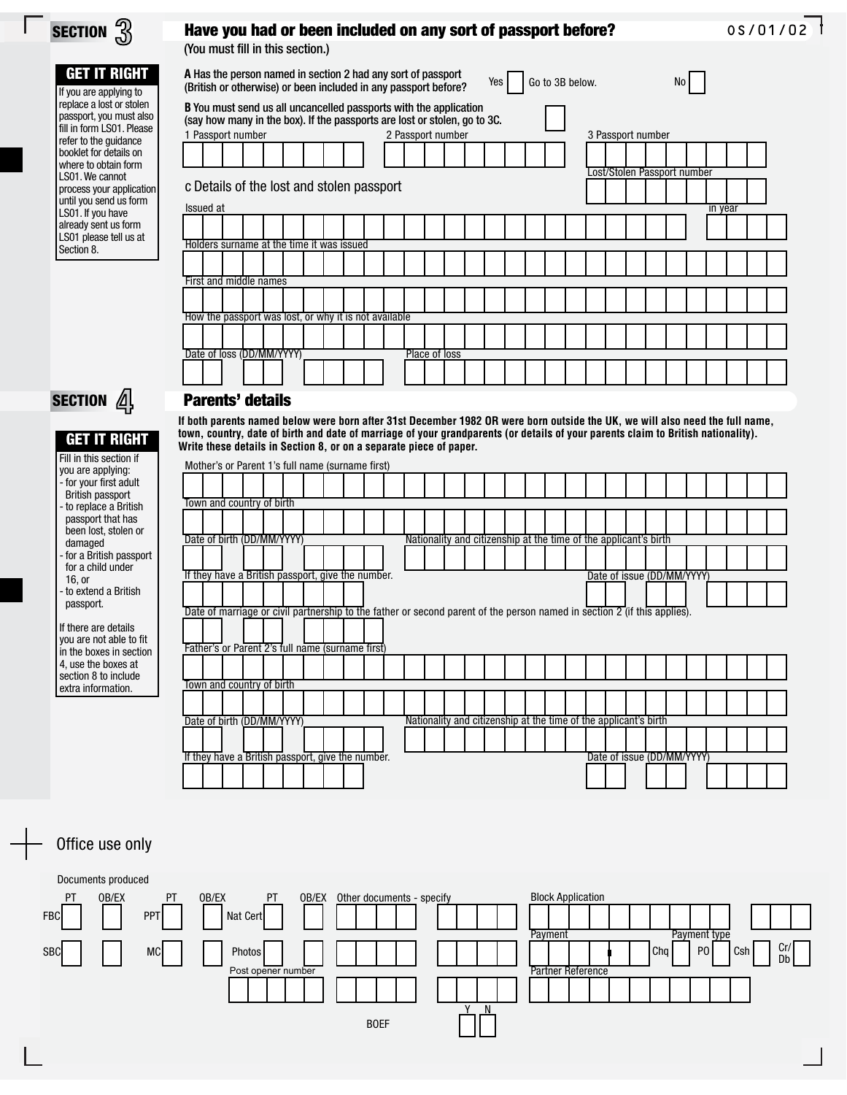| SECTION $\overset{1}{\downarrow}$                                                                                                                                                                                                                                                                                                                                          | 0s/01/02<br>Have you had or been included on any sort of passport before?                                                                                                                                                                                                                                                                                                                                                                                                                                                                                                                                     |  |
|----------------------------------------------------------------------------------------------------------------------------------------------------------------------------------------------------------------------------------------------------------------------------------------------------------------------------------------------------------------------------|---------------------------------------------------------------------------------------------------------------------------------------------------------------------------------------------------------------------------------------------------------------------------------------------------------------------------------------------------------------------------------------------------------------------------------------------------------------------------------------------------------------------------------------------------------------------------------------------------------------|--|
|                                                                                                                                                                                                                                                                                                                                                                            | (You must fill in this section.)                                                                                                                                                                                                                                                                                                                                                                                                                                                                                                                                                                              |  |
| <b>GET IT RIGHT</b><br>If you are applying to<br>replace a lost or stolen<br>passport, you must also<br>fill in form LS01. Please<br>refer to the guidance<br>booklet for details on<br>where to obtain form<br>LS01. We cannot<br>process your application<br>until you send us form<br>LS01. If you have<br>already sent us form<br>LS01 please tell us at<br>Section 8. | A Has the person named in section 2 had any sort of passport<br>Yes<br>Go to 3B below.<br>NO I<br>(British or otherwise) or been included in any passport before?<br>B You must send us all uncancelled passports with the application<br>(say how many in the box). If the passports are lost or stolen, go to 3C.<br>1 Passport number<br>2 Passport number<br>3 Passport number<br>ost/Stolen Passport number.<br>c Details of the lost and stolen passport<br>Issued at<br>in year<br>Holders surname at the time it was issued                                                                           |  |
|                                                                                                                                                                                                                                                                                                                                                                            | First and middle names                                                                                                                                                                                                                                                                                                                                                                                                                                                                                                                                                                                        |  |
|                                                                                                                                                                                                                                                                                                                                                                            |                                                                                                                                                                                                                                                                                                                                                                                                                                                                                                                                                                                                               |  |
|                                                                                                                                                                                                                                                                                                                                                                            | How the passport was lost, or why it is not available                                                                                                                                                                                                                                                                                                                                                                                                                                                                                                                                                         |  |
|                                                                                                                                                                                                                                                                                                                                                                            |                                                                                                                                                                                                                                                                                                                                                                                                                                                                                                                                                                                                               |  |
|                                                                                                                                                                                                                                                                                                                                                                            | Date of loss (DD/MM/YYYY)<br>Place of loss                                                                                                                                                                                                                                                                                                                                                                                                                                                                                                                                                                    |  |
|                                                                                                                                                                                                                                                                                                                                                                            |                                                                                                                                                                                                                                                                                                                                                                                                                                                                                                                                                                                                               |  |
| <b>SECTION</b> $\mathbb{Z}$                                                                                                                                                                                                                                                                                                                                                | <b>Parents' details</b>                                                                                                                                                                                                                                                                                                                                                                                                                                                                                                                                                                                       |  |
| <b>GET IT RIGHT</b><br>Fill in this section if<br>you are applying:<br>- for your first adult<br>British passport<br>to replace a British<br>passport that has<br>been lost, stolen or<br>damaged<br>for a British passport<br>for a child under                                                                                                                           | If both parents named below were born after 31st December 1982 OR were born outside the UK, we will also need the full name,<br>town, country, date of birth and date of marriage of your grandparents (or details of your parents claim to British nationality).<br>Write these details in Section 8, or on a separate piece of paper.<br>Mother's or Parent 1's full name (surname first)<br>Town and country of birth<br>Date of birth (DD/MM/YYYY)<br>Nationality and citizenship at the time of the applicant's birth<br>Date of issue (DD/MM/YYYY)<br>If they have a British passport, give the number. |  |
| $16$ , or<br>to extend a British .<br>passport.<br>If there are details<br>you are not able to fit<br>in the boxes in section                                                                                                                                                                                                                                              | Date of marriage or civil partnership to the father or second parent of the person named in section 2 (if this applies).<br>Father's or Parent 2's full name (surname first)                                                                                                                                                                                                                                                                                                                                                                                                                                  |  |
| 4. use the boxes at<br>section 8 to include                                                                                                                                                                                                                                                                                                                                |                                                                                                                                                                                                                                                                                                                                                                                                                                                                                                                                                                                                               |  |
| extra information.                                                                                                                                                                                                                                                                                                                                                         | Town and country of birth<br>Date of birth (DD/MM/YYYY)<br>Nationality and citizenship at the time of the applicant's birth                                                                                                                                                                                                                                                                                                                                                                                                                                                                                   |  |
|                                                                                                                                                                                                                                                                                                                                                                            |                                                                                                                                                                                                                                                                                                                                                                                                                                                                                                                                                                                                               |  |
|                                                                                                                                                                                                                                                                                                                                                                            | If they have a British passport, give the number.<br>Date of issue (DD/MM/YYYY)                                                                                                                                                                                                                                                                                                                                                                                                                                                                                                                               |  |

## Office use only

 $\sqrt{2}$ 

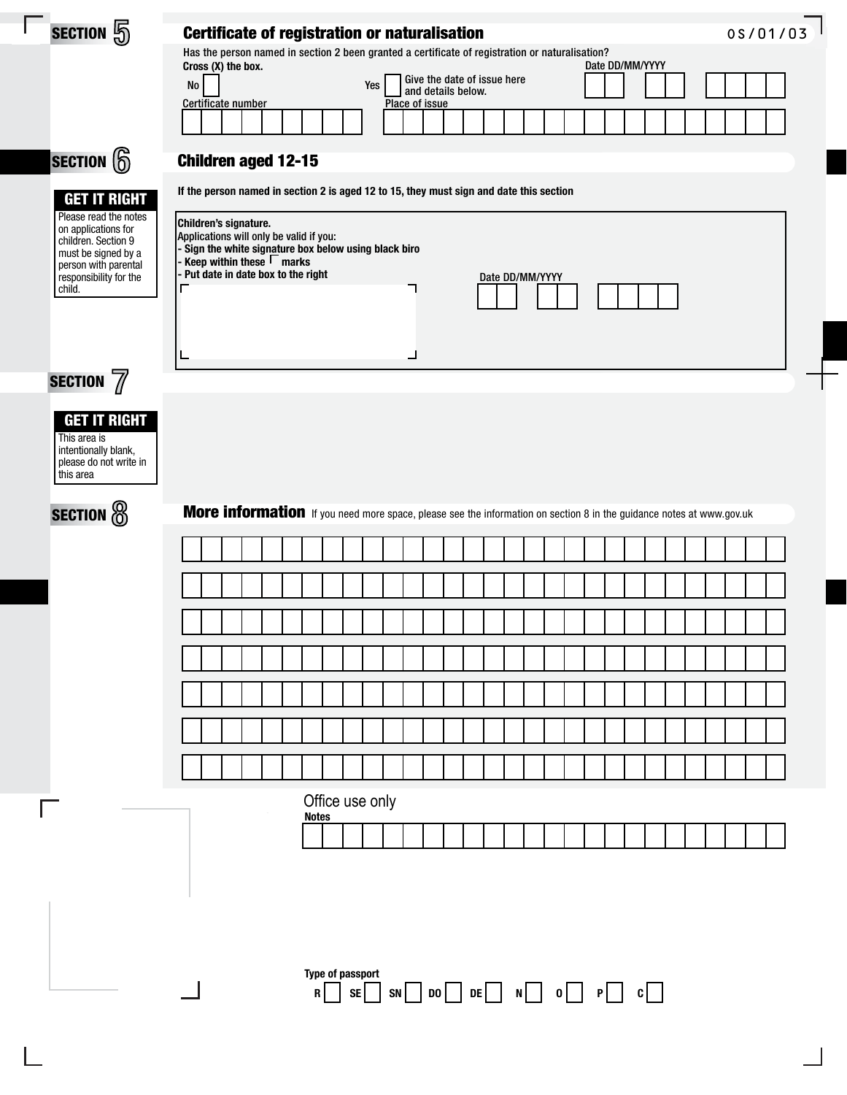| SECTION 5              |                                                | <b>Certificate of registration or naturalisation</b>                                                                                                   |                  |                    |                             |                    |  | 0S/01/03 |
|------------------------|------------------------------------------------|--------------------------------------------------------------------------------------------------------------------------------------------------------|------------------|--------------------|-----------------------------|--------------------|--|----------|
|                        |                                                | Has the person named in section 2 been granted a certificate of registration or naturalisation?<br>Cross (X) the box.                                  |                  |                    |                             |                    |  |          |
|                        |                                                | No                                                                                                                                                     | Yes              | and details below. | Give the date of issue here |                    |  |          |
|                        |                                                | Certificate number                                                                                                                                     |                  | Place of issue     |                             |                    |  |          |
|                        |                                                |                                                                                                                                                        |                  |                    |                             |                    |  |          |
| $ $ section $\bigcirc$ |                                                | <b>Children aged 12-15</b>                                                                                                                             |                  |                    |                             |                    |  |          |
|                        | <b>GET IT RIGHT</b><br>Please read the notes   | If the person named in section 2 is aged 12 to 15, they must sign and date this section                                                                |                  |                    |                             |                    |  |          |
|                        | on applications for<br>children. Section 9     | Children's signature.<br>Applications will only be valid if you:                                                                                       |                  |                    |                             |                    |  |          |
|                        | must be signed by a<br>person with parental    | - Sign the white signature box below using black biro<br>- Keep within these $\overline{\mathsf{\Gamma}}$ marks<br>- Put date in date box to the right |                  |                    |                             |                    |  |          |
| child.                 | responsibility for the                         |                                                                                                                                                        |                  |                    | Date DD/MM/YYYY             |                    |  |          |
|                        |                                                |                                                                                                                                                        |                  |                    |                             |                    |  |          |
|                        |                                                |                                                                                                                                                        |                  |                    |                             |                    |  |          |
| SECTION 7              |                                                |                                                                                                                                                        |                  |                    |                             |                    |  |          |
|                        | <b>GET IT RIGHT</b>                            |                                                                                                                                                        |                  |                    |                             |                    |  |          |
| This area is           |                                                |                                                                                                                                                        |                  |                    |                             |                    |  |          |
| this area              | intentionally blank,<br>please do not write in |                                                                                                                                                        |                  |                    |                             |                    |  |          |
|                        |                                                |                                                                                                                                                        |                  |                    |                             |                    |  |          |
| <b>SECTION</b> @       |                                                | More information If you need more space, please see the information on section 8 in the guidance notes at www.gov.uk                                   |                  |                    |                             |                    |  |          |
|                        |                                                |                                                                                                                                                        |                  |                    |                             |                    |  |          |
|                        |                                                |                                                                                                                                                        |                  |                    |                             |                    |  |          |
|                        |                                                |                                                                                                                                                        |                  |                    |                             |                    |  |          |
|                        |                                                |                                                                                                                                                        |                  |                    |                             |                    |  |          |
|                        |                                                |                                                                                                                                                        |                  |                    |                             |                    |  |          |
|                        |                                                |                                                                                                                                                        |                  |                    |                             |                    |  |          |
|                        |                                                |                                                                                                                                                        |                  |                    |                             |                    |  |          |
|                        |                                                |                                                                                                                                                        |                  |                    |                             |                    |  |          |
|                        |                                                |                                                                                                                                                        | Office use only  |                    |                             |                    |  |          |
|                        |                                                |                                                                                                                                                        | <b>Notes</b>     |                    |                             |                    |  |          |
|                        |                                                |                                                                                                                                                        |                  |                    |                             |                    |  |          |
|                        |                                                |                                                                                                                                                        |                  |                    |                             |                    |  |          |
|                        |                                                |                                                                                                                                                        |                  |                    |                             |                    |  |          |
|                        |                                                |                                                                                                                                                        |                  |                    |                             |                    |  |          |
|                        |                                                |                                                                                                                                                        | Type of passport |                    |                             |                    |  |          |
|                        |                                                |                                                                                                                                                        | SE<br>R          |                    |                             | $SN$ DO DE N O P C |  |          |
|                        |                                                |                                                                                                                                                        |                  |                    |                             |                    |  |          |